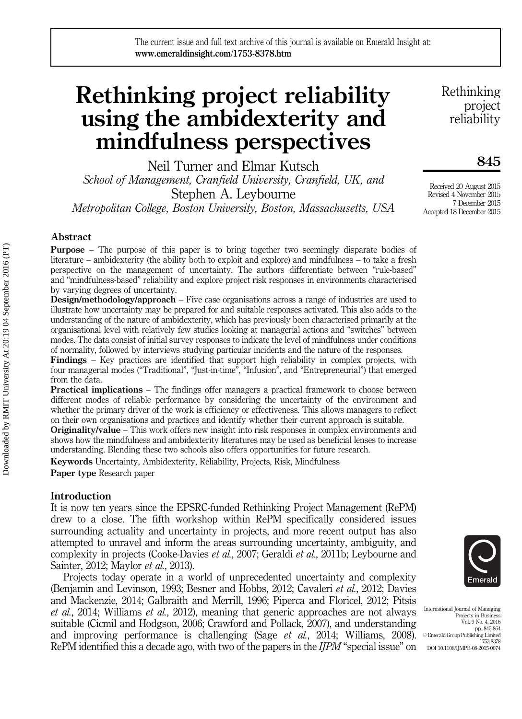# Rethinking project reliability using the ambidexterity and mindfulness perspectives

Neil Turner and Elmar Kutsch School of Management, Cranfield University, Cranfield, UK, and Stephen A. Leybourne Metropolitan College, Boston University, Boston, Massachusetts, USA

## Abstract

**Purpose** – The purpose of this paper is to bring together two seemingly disparate bodies of literature – ambidexterity (the ability both to exploit and explore) and mindfulness – to take a fresh perspective on the management of uncertainty. The authors differentiate between "rule-based" and "mindfulness-based" reliability and explore project risk responses in environments characterised by varying degrees of uncertainty.

**Design/methodology/approach** – Five case organisations across a range of industries are used to illustrate how uncertainty may be prepared for and suitable responses activated. This also adds to the understanding of the nature of ambidexterity, which has previously been characterised primarily at the organisational level with relatively few studies looking at managerial actions and "switches" between modes. The data consist of initial survey responses to indicate the level of mindfulness under conditions of normality, followed by interviews studying particular incidents and the nature of the responses.

Findings – Key practices are identified that support high reliability in complex projects, with four managerial modes ("Traditional", "Just-in-time", "Infusion", and "Entrepreneurial") that emerged from the data.

**Practical implications** – The findings offer managers a practical framework to choose between different modes of reliable performance by considering the uncertainty of the environment and whether the primary driver of the work is efficiency or effectiveness. This allows managers to reflect on their own organisations and practices and identify whether their current approach is suitable.

**Originality/value** – This work offers new insight into risk responses in complex environments and shows how the mindfulness and ambidexterity literatures may be used as beneficial lenses to increase understanding. Blending these two schools also offers opportunities for future research.

Keywords Uncertainty, Ambidexterity, Reliability, Projects, Risk, Mindfulness Paper type Research paper

## Introduction

It is now ten years since the EPSRC-funded Rethinking Project Management (RePM) drew to a close. The fifth workshop within RePM specifically considered issues surrounding actuality and uncertainty in projects, and more recent output has also attempted to unravel and inform the areas surrounding uncertainty, ambiguity, and complexity in projects (Cooke-Davies et al., 2007; Geraldi et al., 2011b; Leybourne and Sainter, 2012; Maylor *et al.*, 2013).

Projects today operate in a world of unprecedented uncertainty and complexity (Benjamin and Levinson, 1993; Besner and Hobbs, 2012; Cavaleri et al., 2012; Davies and Mackenzie, 2014; Galbraith and Merrill, 1996; Piperca and Floricel, 2012; Pitsis et al., 2014; Williams et al., 2012), meaning that generic approaches are not always suitable (Cicmil and Hodgson, 2006; Crawford and Pollack, 2007), and understanding and improving performance is challenging (Sage *et al.*, 2014; Williams, 2008). RePM identified this a decade ago, with two of the papers in the IJPM "special issue" on



International Journal of Managing Projects in Busin Vol. 9 No. 4, 2016 pp. 845-864 © Emerald Group Publishing Limited 1753-8378 DOI 10.1108/IJMPB-08-2015-0074

Rethinking project reliability

845

Received 20 August 2015 Revised 4 November 2015 7 December 2015 Accepted 18 December 2015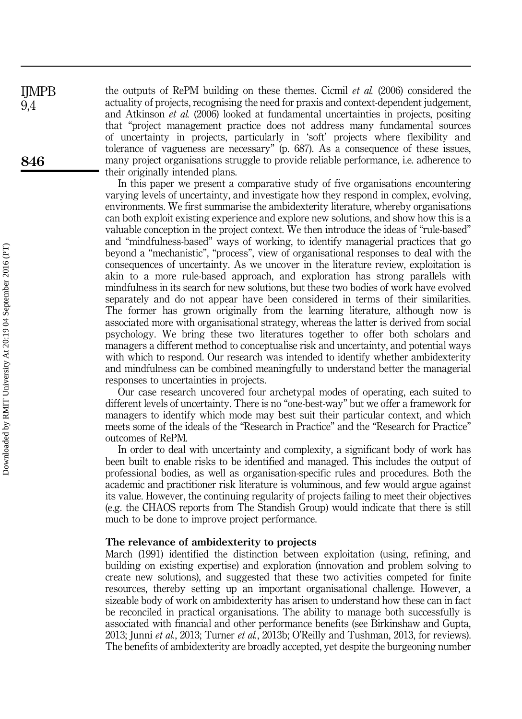the outputs of RePM building on these themes. Cicmil et al. (2006) considered the actuality of projects, recognising the need for praxis and context-dependent judgement, and Atkinson et al. (2006) looked at fundamental uncertainties in projects, positing that "project management practice does not address many fundamental sources of uncertainty in projects, particularly in 'soft' projects where flexibility and tolerance of vagueness are necessary" (p. 687). As a consequence of these issues, many project organisations struggle to provide reliable performance, i.e. adherence to their originally intended plans.

In this paper we present a comparative study of five organisations encountering varying levels of uncertainty, and investigate how they respond in complex, evolving, environments. We first summarise the ambidexterity literature, whereby organisations can both exploit existing experience and explore new solutions, and show how this is a valuable conception in the project context. We then introduce the ideas of "rule-based" and "mindfulness-based" ways of working, to identify managerial practices that go beyond a "mechanistic", "process", view of organisational responses to deal with the consequences of uncertainty. As we uncover in the literature review, exploitation is akin to a more rule-based approach, and exploration has strong parallels with mindfulness in its search for new solutions, but these two bodies of work have evolved separately and do not appear have been considered in terms of their similarities. The former has grown originally from the learning literature, although now is associated more with organisational strategy, whereas the latter is derived from social psychology. We bring these two literatures together to offer both scholars and managers a different method to conceptualise risk and uncertainty, and potential ways with which to respond. Our research was intended to identify whether ambidexterity and mindfulness can be combined meaningfully to understand better the managerial responses to uncertainties in projects.

Our case research uncovered four archetypal modes of operating, each suited to different levels of uncertainty. There is no "one-best-way" but we offer a framework for managers to identify which mode may best suit their particular context, and which meets some of the ideals of the "Research in Practice" and the "Research for Practice" outcomes of RePM.

In order to deal with uncertainty and complexity, a significant body of work has been built to enable risks to be identified and managed. This includes the output of professional bodies, as well as organisation-specific rules and procedures. Both the academic and practitioner risk literature is voluminous, and few would argue against its value. However, the continuing regularity of projects failing to meet their objectives (e.g. the CHAOS reports from The Standish Group) would indicate that there is still much to be done to improve project performance.

#### The relevance of ambidexterity to projects

March (1991) identified the distinction between exploitation (using, refining, and building on existing expertise) and exploration (innovation and problem solving to create new solutions), and suggested that these two activities competed for finite resources, thereby setting up an important organisational challenge. However, a sizeable body of work on ambidexterity has arisen to understand how these can in fact be reconciled in practical organisations. The ability to manage both successfully is associated with financial and other performance benefits (see Birkinshaw and Gupta, 2013; Junni et al., 2013; Turner et al., 2013b; O'Reilly and Tushman, 2013, for reviews). The benefits of ambidexterity are broadly accepted, yet despite the burgeoning number

IJMPB 9,4

846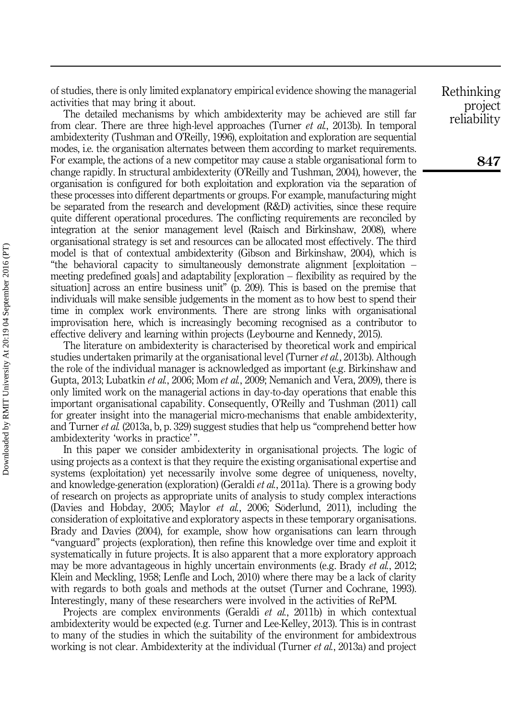of studies, there is only limited explanatory empirical evidence showing the managerial activities that may bring it about.

The detailed mechanisms by which ambidexterity may be achieved are still far from clear. There are three high-level approaches (Turner et al., 2013b). In temporal ambidexterity (Tushman and O'Reilly, 1996), exploitation and exploration are sequential modes, i.e. the organisation alternates between them according to market requirements. For example, the actions of a new competitor may cause a stable organisational form to change rapidly. In structural ambidexterity (O'Reilly and Tushman, 2004), however, the organisation is configured for both exploitation and exploration via the separation of these processes into different departments or groups. For example, manufacturing might be separated from the research and development (R&D) activities, since these require quite different operational procedures. The conflicting requirements are reconciled by integration at the senior management level (Raisch and Birkinshaw, 2008), where organisational strategy is set and resources can be allocated most effectively. The third model is that of contextual ambidexterity (Gibson and Birkinshaw, 2004), which is "the behavioral capacity to simultaneously demonstrate alignment [exploitation – meeting predefined goals] and adaptability [exploration – flexibility as required by the situation] across an entire business unit" (p. 209). This is based on the premise that individuals will make sensible judgements in the moment as to how best to spend their time in complex work environments. There are strong links with organisational improvisation here, which is increasingly becoming recognised as a contributor to effective delivery and learning within projects (Leybourne and Kennedy, 2015).

The literature on ambidexterity is characterised by theoretical work and empirical studies undertaken primarily at the organisational level (Turner *et al.*, 2013b). Although the role of the individual manager is acknowledged as important (e.g. Birkinshaw and Gupta, 2013; Lubatkin *et al.*, 2006; Mom *et al.*, 2009; Nemanich and Vera, 2009), there is only limited work on the managerial actions in day-to-day operations that enable this important organisational capability. Consequently, O'Reilly and Tushman (2011) call for greater insight into the managerial micro-mechanisms that enable ambidexterity, and Turner *et al.* (2013a, b, p. 329) suggest studies that help us "comprehend better how ambidexterity 'works in practice' ".

In this paper we consider ambidexterity in organisational projects. The logic of using projects as a context is that they require the existing organisational expertise and systems (exploitation) yet necessarily involve some degree of uniqueness, novelty, and knowledge-generation (exploration) (Geraldi *et al.*, 2011a). There is a growing body of research on projects as appropriate units of analysis to study complex interactions (Davies and Hobday, 2005; Maylor et al., 2006; Söderlund, 2011), including the consideration of exploitative and exploratory aspects in these temporary organisations. Brady and Davies (2004), for example, show how organisations can learn through "vanguard" projects (exploration), then refine this knowledge over time and exploit it systematically in future projects. It is also apparent that a more exploratory approach may be more advantageous in highly uncertain environments (e.g. Brady *et al.*, 2012; Klein and Meckling, 1958; Lenfle and Loch, 2010) where there may be a lack of clarity with regards to both goals and methods at the outset (Turner and Cochrane, 1993). Interestingly, many of these researchers were involved in the activities of RePM.

Projects are complex environments (Geraldi et al., 2011b) in which contextual ambidexterity would be expected (e.g. Turner and Lee-Kelley, 2013). This is in contrast to many of the studies in which the suitability of the environment for ambidextrous working is not clear. Ambidexterity at the individual (Turner *et al.*, 2013a) and project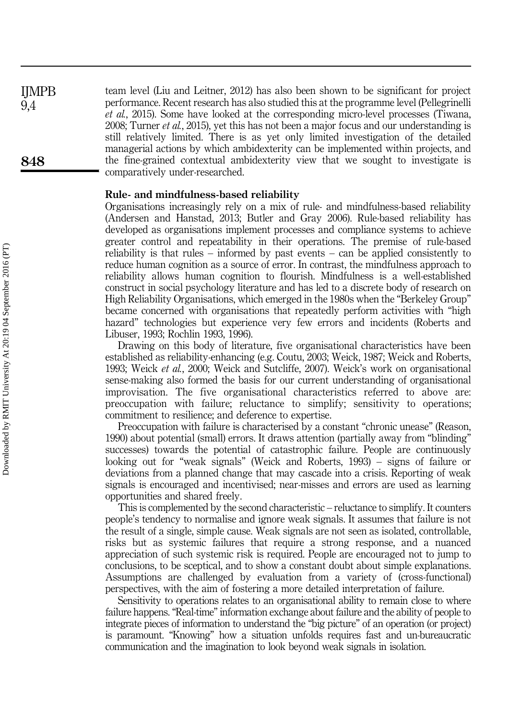team level (Liu and Leitner, 2012) has also been shown to be significant for project performance. Recent research has also studied this at the programme level (Pellegrinelli et al., 2015). Some have looked at the corresponding micro-level processes (Tiwana, 2008; Turner *et al.*, 2015), yet this has not been a major focus and our understanding is still relatively limited. There is as yet only limited investigation of the detailed managerial actions by which ambidexterity can be implemented within projects, and the fine-grained contextual ambidexterity view that we sought to investigate is comparatively under-researched. 848 IJMPB 9,4

## Rule- and mindfulness-based reliability

Organisations increasingly rely on a mix of rule- and mindfulness-based reliability (Andersen and Hanstad, 2013; Butler and Gray 2006). Rule-based reliability has developed as organisations implement processes and compliance systems to achieve greater control and repeatability in their operations. The premise of rule-based reliability is that rules – informed by past events – can be applied consistently to reduce human cognition as a source of error. In contrast, the mindfulness approach to reliability allows human cognition to flourish. Mindfulness is a well-established construct in social psychology literature and has led to a discrete body of research on High Reliability Organisations, which emerged in the 1980s when the "Berkeley Group" became concerned with organisations that repeatedly perform activities with "high hazard" technologies but experience very few errors and incidents (Roberts and Libuser, 1993; Rochlin 1993, 1996).

Drawing on this body of literature, five organisational characteristics have been established as reliability-enhancing (e.g. Coutu, 2003; Weick, 1987; Weick and Roberts, 1993; Weick et al., 2000; Weick and Sutcliffe, 2007). Weick's work on organisational sense-making also formed the basis for our current understanding of organisational improvisation. The five organisational characteristics referred to above are: preoccupation with failure; reluctance to simplify; sensitivity to operations; commitment to resilience; and deference to expertise.

Preoccupation with failure is characterised by a constant "chronic unease" (Reason, 1990) about potential (small) errors. It draws attention (partially away from "blinding" successes) towards the potential of catastrophic failure. People are continuously looking out for "weak signals" (Weick and Roberts, 1993) – signs of failure or deviations from a planned change that may cascade into a crisis. Reporting of weak signals is encouraged and incentivised; near-misses and errors are used as learning opportunities and shared freely.

This is complemented by the second characteristic – reluctance to simplify. It counters people's tendency to normalise and ignore weak signals. It assumes that failure is not the result of a single, simple cause. Weak signals are not seen as isolated, controllable, risks but as systemic failures that require a strong response, and a nuanced appreciation of such systemic risk is required. People are encouraged not to jump to conclusions, to be sceptical, and to show a constant doubt about simple explanations. Assumptions are challenged by evaluation from a variety of (cross-functional) perspectives, with the aim of fostering a more detailed interpretation of failure.

Sensitivity to operations relates to an organisational ability to remain close to where failure happens. "Real-time" information exchange about failure and the ability of people to integrate pieces of information to understand the "big picture" of an operation (or project) is paramount. "Knowing" how a situation unfolds requires fast and un-bureaucratic communication and the imagination to look beyond weak signals in isolation.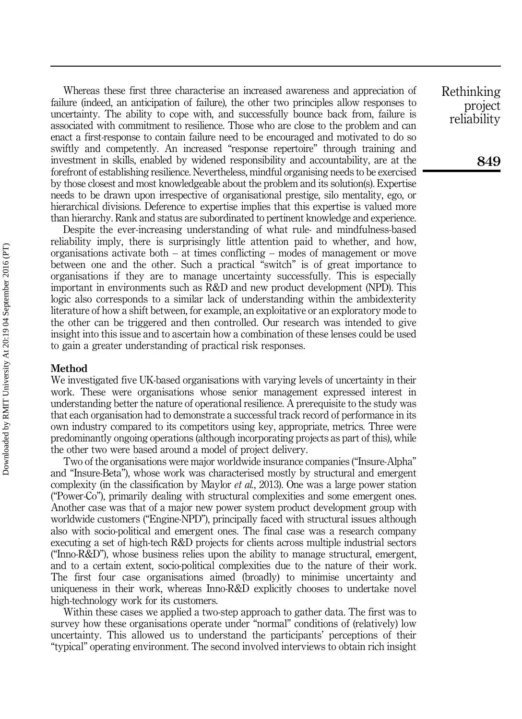Whereas these first three characterise an increased awareness and appreciation of failure (indeed, an anticipation of failure), the other two principles allow responses to uncertainty. The ability to cope with, and successfully bounce back from, failure is associated with commitment to resilience. Those who are close to the problem and can enact a first-response to contain failure need to be encouraged and motivated to do so swiftly and competently. An increased "response repertoire" through training and investment in skills, enabled by widened responsibility and accountability, are at the forefront of establishing resilience. Nevertheless, mindful organising needs to be exercised by those closest and most knowledgeable about the problem and its solution(s). Expertise needs to be drawn upon irrespective of organisational prestige, silo mentality, ego, or hierarchical divisions. Deference to expertise implies that this expertise is valued more than hierarchy. Rank and status are subordinated to pertinent knowledge and experience.

Despite the ever-increasing understanding of what rule- and mindfulness-based reliability imply, there is surprisingly little attention paid to whether, and how, organisations activate both – at times conflicting – modes of management or move between one and the other. Such a practical "switch" is of great importance to organisations if they are to manage uncertainty successfully. This is especially important in environments such as R&D and new product development (NPD). This logic also corresponds to a similar lack of understanding within the ambidexterity literature of how a shift between, for example, an exploitative or an exploratory mode to the other can be triggered and then controlled. Our research was intended to give insight into this issue and to ascertain how a combination of these lenses could be used to gain a greater understanding of practical risk responses.

## Method

We investigated five UK-based organisations with varying levels of uncertainty in their work. These were organisations whose senior management expressed interest in understanding better the nature of operational resilience. A prerequisite to the study was that each organisation had to demonstrate a successful track record of performance in its own industry compared to its competitors using key, appropriate, metrics. Three were predominantly ongoing operations (although incorporating projects as part of this), while the other two were based around a model of project delivery.

Two of the organisations were major worldwide insurance companies ("Insure-Alpha" and "Insure-Beta"), whose work was characterised mostly by structural and emergent complexity (in the classification by Maylor *et al.*, 2013). One was a large power station ("Power-Co"), primarily dealing with structural complexities and some emergent ones. Another case was that of a major new power system product development group with worldwide customers ("Engine-NPD"), principally faced with structural issues although also with socio-political and emergent ones. The final case was a research company executing a set of high-tech R&D projects for clients across multiple industrial sectors ("Inno-R&D"), whose business relies upon the ability to manage structural, emergent, and to a certain extent, socio-political complexities due to the nature of their work. The first four case organisations aimed (broadly) to minimise uncertainty and uniqueness in their work, whereas Inno-R&D explicitly chooses to undertake novel high-technology work for its customers.

Within these cases we applied a two-step approach to gather data. The first was to survey how these organisations operate under "normal" conditions of (relatively) low uncertainty. This allowed us to understand the participants' perceptions of their "typical" operating environment. The second involved interviews to obtain rich insight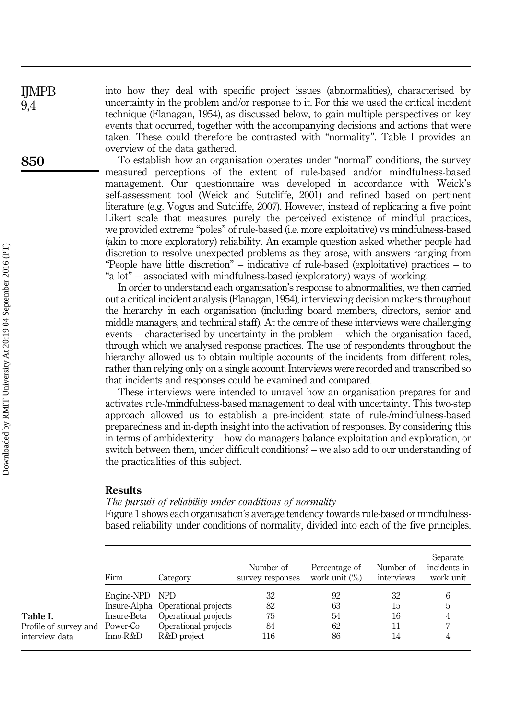into how they deal with specific project issues (abnormalities), characterised by uncertainty in the problem and/or response to it. For this we used the critical incident technique (Flanagan, 1954), as discussed below, to gain multiple perspectives on key events that occurred, together with the accompanying decisions and actions that were taken. These could therefore be contrasted with "normality". Table I provides an overview of the data gathered.

To establish how an organisation operates under "normal" conditions, the survey measured perceptions of the extent of rule-based and/or mindfulness-based management. Our questionnaire was developed in accordance with Weick's self-assessment tool (Weick and Sutcliffe, 2001) and refined based on pertinent literature (e.g. Vogus and Sutcliffe, 2007). However, instead of replicating a five point Likert scale that measures purely the perceived existence of mindful practices, we provided extreme "poles" of rule-based (i.e. more exploitative) vs mindfulness-based (akin to more exploratory) reliability. An example question asked whether people had discretion to resolve unexpected problems as they arose, with answers ranging from "People have little discretion" – indicative of rule-based (exploitative) practices – to "a lot" – associated with mindfulness-based (exploratory) ways of working.

In order to understand each organisation's response to abnormalities, we then carried out a critical incident analysis (Flanagan, 1954), interviewing decision makers throughout the hierarchy in each organisation (including board members, directors, senior and middle managers, and technical staff). At the centre of these interviews were challenging events – characterised by uncertainty in the problem – which the organisation faced, through which we analysed response practices. The use of respondents throughout the hierarchy allowed us to obtain multiple accounts of the incidents from different roles, rather than relying only on a single account. Interviews were recorded and transcribed so that incidents and responses could be examined and compared.

These interviews were intended to unravel how an organisation prepares for and activates rule-/mindfulness-based management to deal with uncertainty. This two-step approach allowed us to establish a pre-incident state of rule-/mindfulness-based preparedness and in-depth insight into the activation of responses. By considering this in terms of ambidexterity – how do managers balance exploitation and exploration, or switch between them, under difficult conditions? – we also add to our understanding of the practicalities of this subject.

#### Results

#### The pursuit of reliability under conditions of normality

Figure 1 shows each organisation's average tendency towards rule-based or mindfulnessbased reliability under conditions of normality, divided into each of the five principles.

|                                                              | Firm                                        | Category                                                                                         | Number of<br>survey responses | Percentage of<br>work unit $\binom{0}{0}$ | Number of<br>interviews    | Separate<br>incidents in<br>work unit |
|--------------------------------------------------------------|---------------------------------------------|--------------------------------------------------------------------------------------------------|-------------------------------|-------------------------------------------|----------------------------|---------------------------------------|
| Table I.<br>Profile of survey and Power-Co<br>interview data | Engine-NPD NPD<br>Insure-Beta<br>$Inno-R&D$ | Insure-Alpha Operational projects<br>Operational projects<br>Operational projects<br>R&D project | 32<br>82<br>75<br>84<br>116   | 92<br>63<br>54<br>62<br>86                | 32<br>15<br>16<br>11<br>14 |                                       |

850

IJMPB 9,4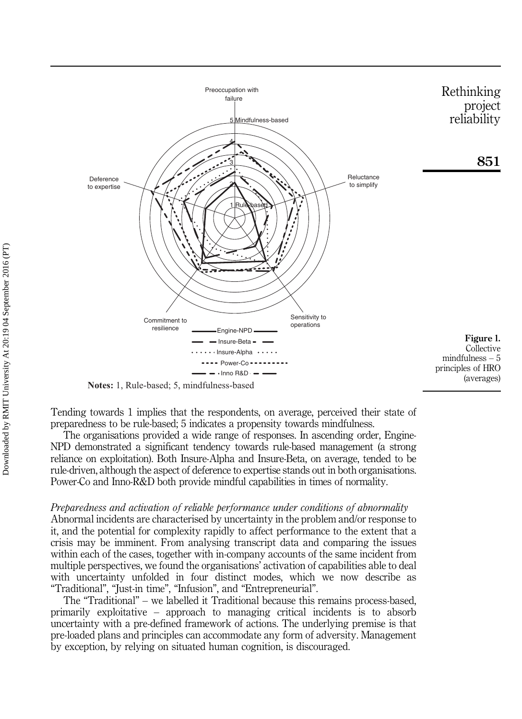

**Notes:** 1, Rule-based; 5, mindfulness-based

Tending towards 1 implies that the respondents, on average, perceived their state of preparedness to be rule-based; 5 indicates a propensity towards mindfulness.

The organisations provided a wide range of responses. In ascending order, Engine-NPD demonstrated a significant tendency towards rule-based management (a strong reliance on exploitation). Both Insure-Alpha and Insure-Beta, on average, tended to be rule-driven, although the aspect of deference to expertise stands out in both organisations. Power-Co and Inno-R&D both provide mindful capabilities in times of normality.

## Preparedness and activation of reliable performance under conditions of abnormality

Abnormal incidents are characterised by uncertainty in the problem and/or response to it, and the potential for complexity rapidly to affect performance to the extent that a crisis may be imminent. From analysing transcript data and comparing the issues within each of the cases, together with in-company accounts of the same incident from multiple perspectives, we found the organisations' activation of capabilities able to deal with uncertainty unfolded in four distinct modes, which we now describe as "Traditional", "Just-in time", "Infusion", and "Entrepreneurial".

The "Traditional" – we labelled it Traditional because this remains process-based, primarily exploitative – approach to managing critical incidents is to absorb uncertainty with a pre-defined framework of actions. The underlying premise is that pre-loaded plans and principles can accommodate any form of adversity. Management by exception, by relying on situated human cognition, is discouraged.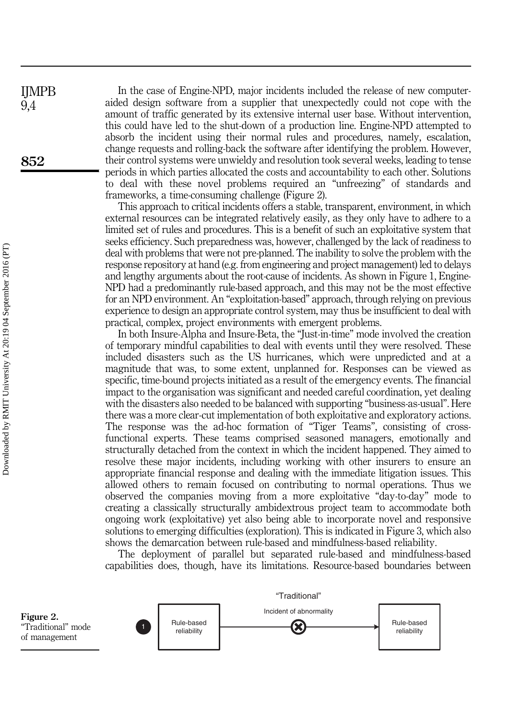In the case of Engine-NPD, major incidents included the release of new computeraided design software from a supplier that unexpectedly could not cope with the amount of traffic generated by its extensive internal user base. Without intervention, this could have led to the shut-down of a production line. Engine-NPD attempted to absorb the incident using their normal rules and procedures, namely, escalation, change requests and rolling-back the software after identifying the problem. However, their control systems were unwieldy and resolution took several weeks, leading to tense periods in which parties allocated the costs and accountability to each other. Solutions to deal with these novel problems required an "unfreezing" of standards and frameworks, a time-consuming challenge (Figure 2).

This approach to critical incidents offers a stable, transparent, environment, in which external resources can be integrated relatively easily, as they only have to adhere to a limited set of rules and procedures. This is a benefit of such an exploitative system that seeks efficiency. Such preparedness was, however, challenged by the lack of readiness to deal with problems that were not pre-planned. The inability to solve the problem with the response repository at hand (e.g. from engineering and project management) led to delays and lengthy arguments about the root-cause of incidents. As shown in Figure 1, Engine-NPD had a predominantly rule-based approach, and this may not be the most effective for an NPD environment. An "exploitation-based" approach, through relying on previous experience to design an appropriate control system, may thus be insufficient to deal with practical, complex, project environments with emergent problems.

In both Insure-Alpha and Insure-Beta, the "Just-in-time" mode involved the creation of temporary mindful capabilities to deal with events until they were resolved. These included disasters such as the US hurricanes, which were unpredicted and at a magnitude that was, to some extent, unplanned for. Responses can be viewed as specific, time-bound projects initiated as a result of the emergency events. The financial impact to the organisation was significant and needed careful coordination, yet dealing with the disasters also needed to be balanced with supporting "business-as-usual". Here there was a more clear-cut implementation of both exploitative and exploratory actions. The response was the ad-hoc formation of "Tiger Teams", consisting of crossfunctional experts. These teams comprised seasoned managers, emotionally and structurally detached from the context in which the incident happened. They aimed to resolve these major incidents, including working with other insurers to ensure an appropriate financial response and dealing with the immediate litigation issues. This allowed others to remain focused on contributing to normal operations. Thus we observed the companies moving from a more exploitative "day-to-day" mode to creating a classically structurally ambidextrous project team to accommodate both ongoing work (exploitative) yet also being able to incorporate novel and responsive solutions to emerging difficulties (exploration). This is indicated in Figure 3, which also shows the demarcation between rule-based and mindfulness-based reliability.

The deployment of parallel but separated rule-based and mindfulness-based capabilities does, though, have its limitations. Resource-based boundaries between



852

IJMPB 9,4

Figure 2. "Traditional" mode of management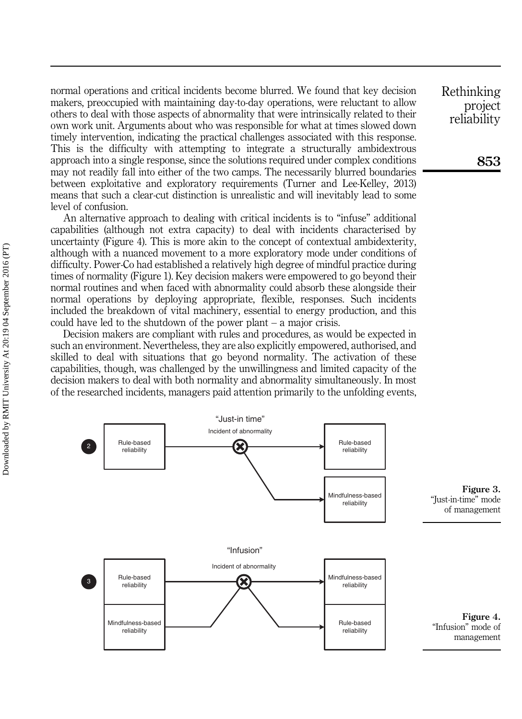normal operations and critical incidents become blurred. We found that key decision makers, preoccupied with maintaining day-to-day operations, were reluctant to allow others to deal with those aspects of abnormality that were intrinsically related to their own work unit. Arguments about who was responsible for what at times slowed down timely intervention, indicating the practical challenges associated with this response. This is the difficulty with attempting to integrate a structurally ambidextrous approach into a single response, since the solutions required under complex conditions may not readily fall into either of the two camps. The necessarily blurred boundaries between exploitative and exploratory requirements (Turner and Lee-Kelley, 2013) means that such a clear-cut distinction is unrealistic and will inevitably lead to some level of confusion.

An alternative approach to dealing with critical incidents is to "infuse" additional capabilities (although not extra capacity) to deal with incidents characterised by uncertainty (Figure 4). This is more akin to the concept of contextual ambidexterity, although with a nuanced movement to a more exploratory mode under conditions of difficulty. Power-Co had established a relatively high degree of mindful practice during times of normality (Figure 1). Key decision makers were empowered to go beyond their normal routines and when faced with abnormality could absorb these alongside their normal operations by deploying appropriate, flexible, responses. Such incidents included the breakdown of vital machinery, essential to energy production, and this could have led to the shutdown of the power plant – a major crisis.

Decision makers are compliant with rules and procedures, as would be expected in such an environment. Nevertheless, they are also explicitly empowered, authorised, and skilled to deal with situations that go beyond normality. The activation of these capabilities, though, was challenged by the unwillingness and limited capacity of the decision makers to deal with both normality and abnormality simultaneously. In most of the researched incidents, managers paid attention primarily to the unfolding events,

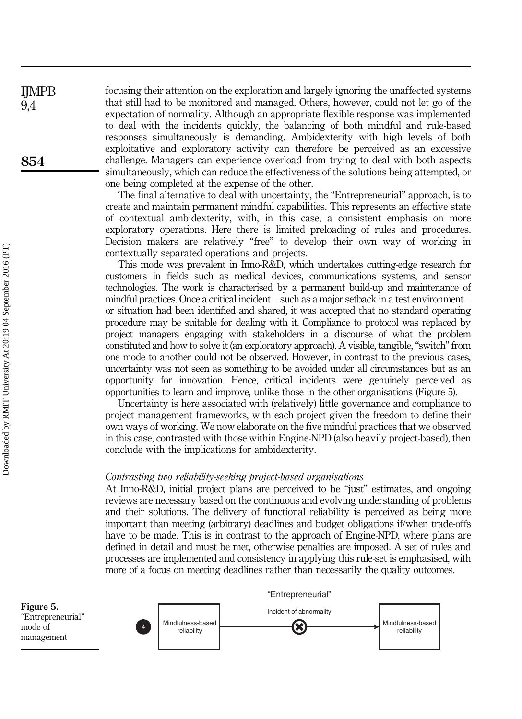focusing their attention on the exploration and largely ignoring the unaffected systems that still had to be monitored and managed. Others, however, could not let go of the expectation of normality. Although an appropriate flexible response was implemented to deal with the incidents quickly, the balancing of both mindful and rule-based responses simultaneously is demanding. Ambidexterity with high levels of both exploitative and exploratory activity can therefore be perceived as an excessive challenge. Managers can experience overload from trying to deal with both aspects simultaneously, which can reduce the effectiveness of the solutions being attempted, or one being completed at the expense of the other.

The final alternative to deal with uncertainty, the "Entrepreneurial" approach, is to create and maintain permanent mindful capabilities. This represents an effective state of contextual ambidexterity, with, in this case, a consistent emphasis on more exploratory operations. Here there is limited preloading of rules and procedures. Decision makers are relatively "free" to develop their own way of working in contextually separated operations and projects.

This mode was prevalent in Inno-R&D, which undertakes cutting-edge research for customers in fields such as medical devices, communications systems, and sensor technologies. The work is characterised by a permanent build-up and maintenance of mindful practices. Once a critical incident – such as a major setback in a test environment – or situation had been identified and shared, it was accepted that no standard operating procedure may be suitable for dealing with it. Compliance to protocol was replaced by project managers engaging with stakeholders in a discourse of what the problem constituted and how to solve it (an exploratory approach). A visible, tangible, "switch"from one mode to another could not be observed. However, in contrast to the previous cases, uncertainty was not seen as something to be avoided under all circumstances but as an opportunity for innovation. Hence, critical incidents were genuinely perceived as opportunities to learn and improve, unlike those in the other organisations (Figure 5).

Uncertainty is here associated with (relatively) little governance and compliance to project management frameworks, with each project given the freedom to define their own ways of working. We now elaborate on the five mindful practices that we observed in this case, contrasted with those within Engine-NPD (also heavily project-based), then conclude with the implications for ambidexterity.

## Contrasting two reliability-seeking project-based organisations

At Inno-R&D, initial project plans are perceived to be "just" estimates, and ongoing reviews are necessary based on the continuous and evolving understanding of problems and their solutions. The delivery of functional reliability is perceived as being more important than meeting (arbitrary) deadlines and budget obligations if/when trade-offs have to be made. This is in contrast to the approach of Engine-NPD, where plans are defined in detail and must be met, otherwise penalties are imposed. A set of rules and processes are implemented and consistency in applying this rule-set is emphasised, with more of a focus on meeting deadlines rather than necessarily the quality outcomes.



Figure 5. "Entrepreneurial" mode of management

IJMPB 9,4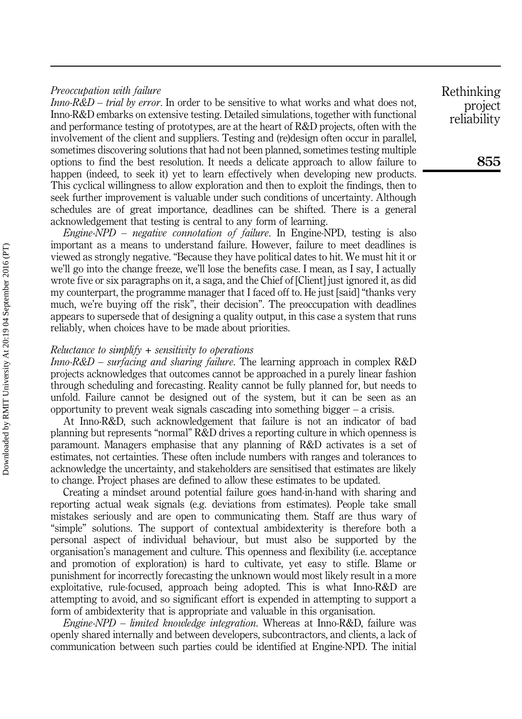#### Preoccupation with failure

Inno-R&D – trial by error. In order to be sensitive to what works and what does not, Inno-R&D embarks on extensive testing. Detailed simulations, together with functional and performance testing of prototypes, are at the heart of R&D projects, often with the involvement of the client and suppliers. Testing and (re)design often occur in parallel, sometimes discovering solutions that had not been planned, sometimes testing multiple options to find the best resolution. It needs a delicate approach to allow failure to happen (indeed, to seek it) yet to learn effectively when developing new products. This cyclical willingness to allow exploration and then to exploit the findings, then to seek further improvement is valuable under such conditions of uncertainty. Although schedules are of great importance, deadlines can be shifted. There is a general acknowledgement that testing is central to any form of learning.

Engine-NPD – negative connotation of failure. In Engine-NPD, testing is also important as a means to understand failure. However, failure to meet deadlines is viewed as strongly negative. "Because they have political dates to hit. We must hit it or we'll go into the change freeze, we'll lose the benefits case. I mean, as I say, I actually wrote five or six paragraphs on it, a saga, and the Chief of [Client] just ignored it, as did my counterpart, the programme manager that I faced off to. He just [said] "thanks very much, we're buying off the risk", their decision". The preoccupation with deadlines appears to supersede that of designing a quality output, in this case a system that runs reliably, when choices have to be made about priorities.

#### Reluctance to simplify  $+$  sensitivity to operations

*Inno-R&D – surfacing and sharing failure.* The learning approach in complex R&D projects acknowledges that outcomes cannot be approached in a purely linear fashion through scheduling and forecasting. Reality cannot be fully planned for, but needs to unfold. Failure cannot be designed out of the system, but it can be seen as an opportunity to prevent weak signals cascading into something bigger – a crisis.

At Inno-R&D, such acknowledgement that failure is not an indicator of bad planning but represents "normal" R&D drives a reporting culture in which openness is paramount. Managers emphasise that any planning of R&D activates is a set of estimates, not certainties. These often include numbers with ranges and tolerances to acknowledge the uncertainty, and stakeholders are sensitised that estimates are likely to change. Project phases are defined to allow these estimates to be updated.

Creating a mindset around potential failure goes hand-in-hand with sharing and reporting actual weak signals (e.g. deviations from estimates). People take small mistakes seriously and are open to communicating them. Staff are thus wary of "simple" solutions. The support of contextual ambidexterity is therefore both a personal aspect of individual behaviour, but must also be supported by the organisation's management and culture. This openness and flexibility (i.e. acceptance and promotion of exploration) is hard to cultivate, yet easy to stifle. Blame or punishment for incorrectly forecasting the unknown would most likely result in a more exploitative, rule-focused, approach being adopted. This is what Inno-R&D are attempting to avoid, and so significant effort is expended in attempting to support a form of ambidexterity that is appropriate and valuable in this organisation.

*Engine-NPD – limited knowledge integration.* Whereas at Inno-R&D, failure was openly shared internally and between developers, subcontractors, and clients, a lack of communication between such parties could be identified at Engine-NPD. The initial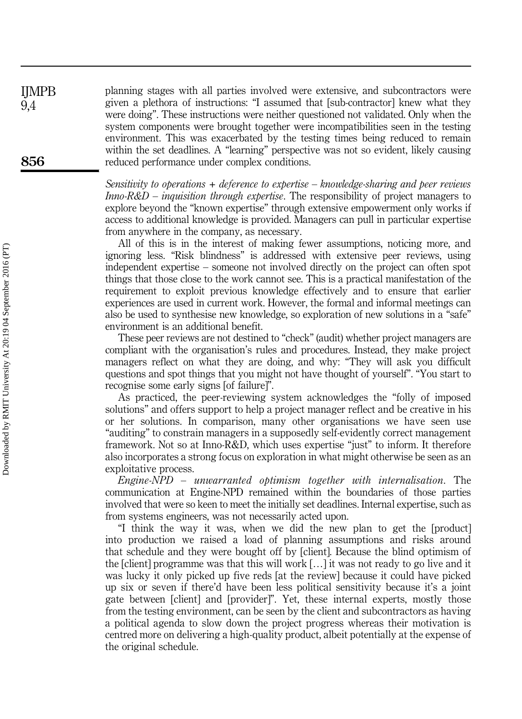planning stages with all parties involved were extensive, and subcontractors were given a plethora of instructions: "I assumed that [sub-contractor] knew what they were doing". These instructions were neither questioned not validated. Only when the system components were brought together were incompatibilities seen in the testing environment. This was exacerbated by the testing times being reduced to remain within the set deadlines. A "learning" perspective was not so evident, likely causing reduced performance under complex conditions. 856 IJMPB 9,4

> Sensitivity to operations + deference to expertise – knowledge-sharing and peer reviews Inno-R&D – inquisition through expertise. The responsibility of project managers to explore beyond the "known expertise" through extensive empowerment only works if access to additional knowledge is provided. Managers can pull in particular expertise from anywhere in the company, as necessary.

> All of this is in the interest of making fewer assumptions, noticing more, and ignoring less. "Risk blindness" is addressed with extensive peer reviews, using independent expertise – someone not involved directly on the project can often spot things that those close to the work cannot see. This is a practical manifestation of the requirement to exploit previous knowledge effectively and to ensure that earlier experiences are used in current work. However, the formal and informal meetings can also be used to synthesise new knowledge, so exploration of new solutions in a "safe" environment is an additional benefit.

> These peer reviews are not destined to "check" (audit) whether project managers are compliant with the organisation's rules and procedures. Instead, they make project managers reflect on what they are doing, and why: "They will ask you difficult questions and spot things that you might not have thought of yourself". "You start to recognise some early signs [of failure]".

> As practiced, the peer-reviewing system acknowledges the "folly of imposed solutions" and offers support to help a project manager reflect and be creative in his or her solutions. In comparison, many other organisations we have seen use "auditing" to constrain managers in a supposedly self-evidently correct management framework. Not so at Inno-R&D, which uses expertise "just" to inform. It therefore also incorporates a strong focus on exploration in what might otherwise be seen as an exploitative process.

> Engine-NPD – unwarranted optimism together with internalisation. The communication at Engine-NPD remained within the boundaries of those parties involved that were so keen to meet the initially set deadlines. Internal expertise, such as from systems engineers, was not necessarily acted upon.

> "I think the way it was, when we did the new plan to get the [product] into production we raised a load of planning assumptions and risks around that schedule and they were bought off by [client]. Because the blind optimism of the [client] programme was that this will work […] it was not ready to go live and it was lucky it only picked up five reds [at the review] because it could have picked up six or seven if there'd have been less political sensitivity because it's a joint gate between [client] and [provider]". Yet, these internal experts, mostly those from the testing environment, can be seen by the client and subcontractors as having a political agenda to slow down the project progress whereas their motivation is centred more on delivering a high-quality product, albeit potentially at the expense of the original schedule.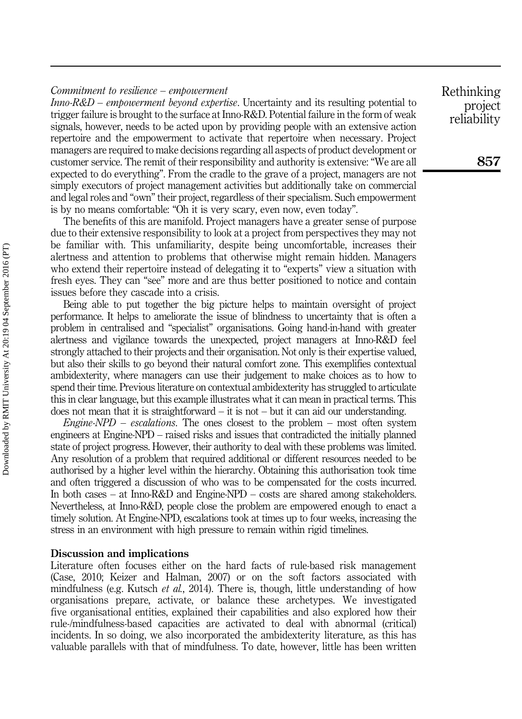#### Commitment to resilience – empowerment

Inno-R&D – empowerment beyond expertise. Uncertainty and its resulting potential to trigger failure is brought to the surface at Inno-R&D. Potential failure in the form of weak signals, however, needs to be acted upon by providing people with an extensive action repertoire and the empowerment to activate that repertoire when necessary. Project managers are required to make decisions regarding all aspects of product development or customer service. The remit of their responsibility and authority is extensive: "We are all expected to do everything". From the cradle to the grave of a project, managers are not simply executors of project management activities but additionally take on commercial and legal roles and "own" their project, regardless of their specialism. Such empowerment is by no means comfortable: "Oh it is very scary, even now, even today".

The benefits of this are manifold. Project managers have a greater sense of purpose due to their extensive responsibility to look at a project from perspectives they may not be familiar with. This unfamiliarity, despite being uncomfortable, increases their alertness and attention to problems that otherwise might remain hidden. Managers who extend their repertoire instead of delegating it to "experts" view a situation with fresh eyes. They can "see" more and are thus better positioned to notice and contain issues before they cascade into a crisis.

Being able to put together the big picture helps to maintain oversight of project performance. It helps to ameliorate the issue of blindness to uncertainty that is often a problem in centralised and "specialist" organisations. Going hand-in-hand with greater alertness and vigilance towards the unexpected, project managers at Inno-R&D feel strongly attached to their projects and their organisation. Not only is their expertise valued, but also their skills to go beyond their natural comfort zone. This exemplifies contextual ambidexterity, where managers can use their judgement to make choices as to how to spend their time. Previous literature on contextual ambidexterity has struggled to articulate this in clear language, but this example illustrates what it can mean in practical terms. This does not mean that it is straightforward – it is not – but it can aid our understanding.

*Engine-NPD – escalations.* The ones closest to the problem – most often system engineers at Engine-NPD – raised risks and issues that contradicted the initially planned state of project progress. However, their authority to deal with these problems was limited. Any resolution of a problem that required additional or different resources needed to be authorised by a higher level within the hierarchy. Obtaining this authorisation took time and often triggered a discussion of who was to be compensated for the costs incurred. In both cases – at Inno-R&D and Engine-NPD – costs are shared among stakeholders. Nevertheless, at Inno-R&D, people close the problem are empowered enough to enact a timely solution. At Engine-NPD, escalations took at times up to four weeks, increasing the stress in an environment with high pressure to remain within rigid timelines.

#### Discussion and implications

Literature often focuses either on the hard facts of rule-based risk management (Case, 2010; Keizer and Halman, 2007) or on the soft factors associated with mindfulness (e.g. Kutsch *et al.*, 2014). There is, though, little understanding of how organisations prepare, activate, or balance these archetypes. We investigated five organisational entities, explained their capabilities and also explored how their rule-/mindfulness-based capacities are activated to deal with abnormal (critical) incidents. In so doing, we also incorporated the ambidexterity literature, as this has valuable parallels with that of mindfulness. To date, however, little has been written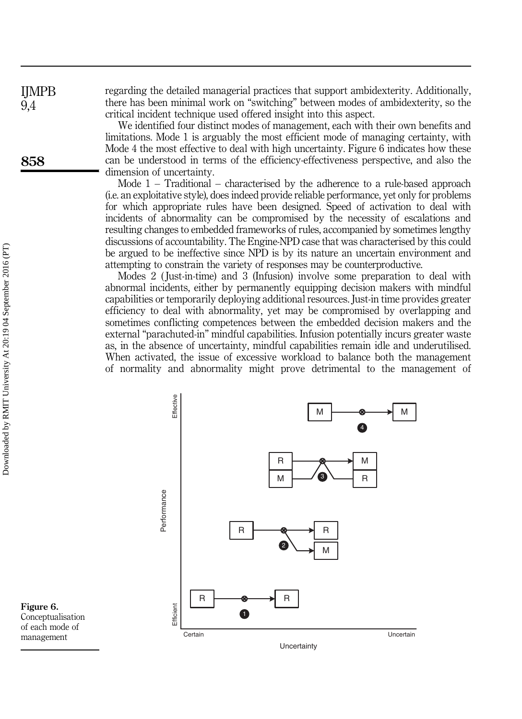IJMPB 9,4

858

regarding the detailed managerial practices that support ambidexterity. Additionally, there has been minimal work on "switching" between modes of ambidexterity, so the critical incident technique used offered insight into this aspect.

We identified four distinct modes of management, each with their own benefits and limitations. Mode 1 is arguably the most efficient mode of managing certainty, with Mode 4 the most effective to deal with high uncertainty. Figure 6 indicates how these can be understood in terms of the efficiency-effectiveness perspective, and also the dimension of uncertainty.

Mode 1 – Traditional – characterised by the adherence to a rule-based approach (i.e. an exploitative style), does indeed provide reliable performance, yet only for problems for which appropriate rules have been designed. Speed of activation to deal with incidents of abnormality can be compromised by the necessity of escalations and resulting changes to embedded frameworks of rules, accompanied by sometimes lengthy discussions of accountability. The Engine-NPD case that was characterised by this could be argued to be ineffective since NPD is by its nature an uncertain environment and attempting to constrain the variety of responses may be counterproductive.

Modes 2 ( Just-in-time) and 3 (Infusion) involve some preparation to deal with abnormal incidents, either by permanently equipping decision makers with mindful capabilities or temporarily deploying additional resources. Just-in time provides greater efficiency to deal with abnormality, yet may be compromised by overlapping and sometimes conflicting competences between the embedded decision makers and the external "parachuted-in" mindful capabilities. Infusion potentially incurs greater waste as, in the absence of uncertainty, mindful capabilities remain idle and underutilised. When activated, the issue of excessive workload to balance both the management of normality and abnormality might prove detrimental to the management of



Figure 6. Conceptualisation of each mode of management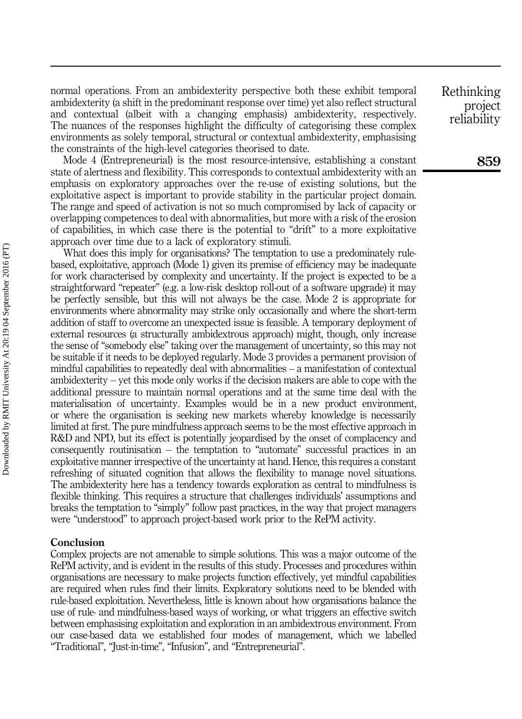normal operations. From an ambidexterity perspective both these exhibit temporal ambidexterity (a shift in the predominant response over time) yet also reflect structural and contextual (albeit with a changing emphasis) ambidexterity, respectively. The nuances of the responses highlight the difficulty of categorising these complex environments as solely temporal, structural or contextual ambidexterity, emphasising the constraints of the high-level categories theorised to date.

Mode 4 (Entrepreneurial) is the most resource-intensive, establishing a constant state of alertness and flexibility. This corresponds to contextual ambidexterity with an emphasis on exploratory approaches over the re-use of existing solutions, but the exploitative aspect is important to provide stability in the particular project domain. The range and speed of activation is not so much compromised by lack of capacity or overlapping competences to deal with abnormalities, but more with a risk of the erosion of capabilities, in which case there is the potential to "drift" to a more exploitative approach over time due to a lack of exploratory stimuli.

What does this imply for organisations? The temptation to use a predominately rulebased, exploitative, approach (Mode 1) given its premise of efficiency may be inadequate for work characterised by complexity and uncertainty. If the project is expected to be a straightforward "repeater" (e.g. a low-risk desktop roll-out of a software upgrade) it may be perfectly sensible, but this will not always be the case. Mode 2 is appropriate for environments where abnormality may strike only occasionally and where the short-term addition of staff to overcome an unexpected issue is feasible. A temporary deployment of external resources (a structurally ambidextrous approach) might, though, only increase the sense of "somebody else" taking over the management of uncertainty, so this may not be suitable if it needs to be deployed regularly. Mode 3 provides a permanent provision of mindful capabilities to repeatedly deal with abnormalities – a manifestation of contextual ambidexterity – yet this mode only works if the decision makers are able to cope with the additional pressure to maintain normal operations and at the same time deal with the materialisation of uncertainty. Examples would be in a new product environment, or where the organisation is seeking new markets whereby knowledge is necessarily limited at first. The pure mindfulness approach seems to be the most effective approach in R&D and NPD, but its effect is potentially jeopardised by the onset of complacency and consequently routinisation – the temptation to "automate" successful practices in an exploitative manner irrespective of the uncertainty at hand. Hence, this requires a constant refreshing of situated cognition that allows the flexibility to manage novel situations. The ambidexterity here has a tendency towards exploration as central to mindfulness is flexible thinking. This requires a structure that challenges individuals' assumptions and breaks the temptation to "simply" follow past practices, in the way that project managers were "understood" to approach project-based work prior to the RePM activity.

## Conclusion

Complex projects are not amenable to simple solutions. This was a major outcome of the RePM activity, and is evident in the results of this study. Processes and procedures within organisations are necessary to make projects function effectively, yet mindful capabilities are required when rules find their limits. Exploratory solutions need to be blended with rule-based exploitation. Nevertheless, little is known about how organisations balance the use of rule- and mindfulness-based ways of working, or what triggers an effective switch between emphasising exploitation and exploration in an ambidextrous environment. From our case-based data we established four modes of management, which we labelled "Traditional", "Just-in-time", "Infusion", and "Entrepreneurial".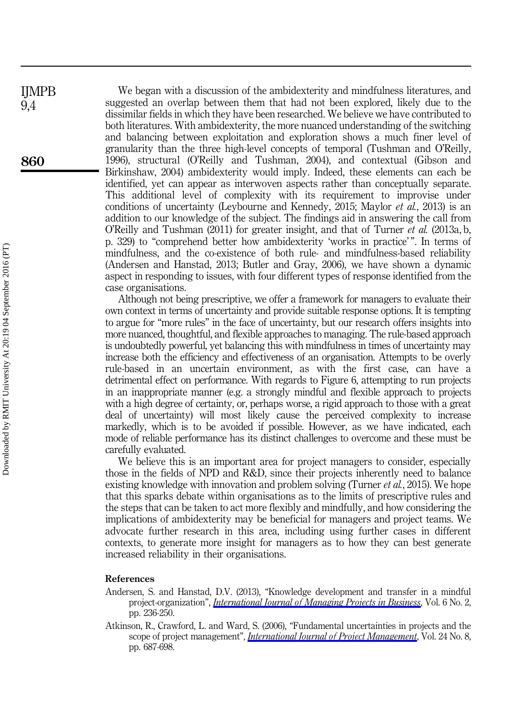We began with a discussion of the ambidexterity and mindfulness literatures, and suggested an overlap between them that had not been explored, likely due to the dissimilar fields in which they have been researched. We believe we have contributed to both literatures. With ambidexterity, the more nuanced understanding of the switching and balancing between exploitation and exploration shows a much finer level of granularity than the three high-level concepts of temporal (Tushman and O'Reilly, 1996), structural (O'Reilly and Tushman, 2004), and contextual (Gibson and Birkinshaw, 2004) ambidexterity would imply. Indeed, these elements can each be identified, yet can appear as interwoven aspects rather than conceptually separate. This additional level of complexity with its requirement to improvise under conditions of uncertainty (Leybourne and Kennedy, 2015; Maylor et al., 2013) is an addition to our knowledge of the subject. The findings aid in answering the call from O'Reilly and Tushman (2011) for greater insight, and that of Turner *et al.* (2013a, b, p. 329) to "comprehend better how ambidexterity 'works in practice' ". In terms of mindfulness, and the co-existence of both rule- and mindfulness-based reliability (Andersen and Hanstad, 2013; Butler and Gray, 2006), we have shown a dynamic aspect in responding to issues, with four different types of response identified from the case organisations.

Although not being prescriptive, we offer a framework for managers to evaluate their own context in terms of uncertainty and provide suitable response options. It is tempting to argue for "more rules" in the face of uncertainty, but our research offers insights into more nuanced, thoughtful, and flexible approaches to managing. The rule-based approach is undoubtedly powerful, yet balancing this with mindfulness in times of uncertainty may increase both the efficiency and effectiveness of an organisation. Attempts to be overly rule-based in an uncertain environment, as with the first case, can have a detrimental effect on performance. With regards to Figure 6, attempting to run projects in an inappropriate manner (e.g. a strongly mindful and flexible approach to projects with a high degree of certainty, or, perhaps worse, a rigid approach to those with a great deal of uncertainty) will most likely cause the perceived complexity to increase markedly, which is to be avoided if possible. However, as we have indicated, each mode of reliable performance has its distinct challenges to overcome and these must be carefully evaluated.

We believe this is an important area for project managers to consider, especially those in the fields of NPD and R&D, since their projects inherently need to balance existing knowledge with innovation and problem solving (Turner *et al.*, 2015). We hope that this sparks debate within organisations as to the limits of prescriptive rules and the steps that can be taken to act more flexibly and mindfully, and how considering the implications of ambidexterity may be beneficial for managers and project teams. We advocate further research in this area, including using further cases in different contexts, to generate more insight for managers as to how they can best generate increased reliability in their organisations.

#### References

- Andersen, S. and Hanstad, D.V. (2013), "Knowledge development and transfer in a mindful project-organization", *[International Journal of Managing Projects in Business](http://www.emeraldinsight.com/action/showLinks?system=10.1108%2F17538371311319007)*, Vol. 6 No. 2, pp. 236-250.
- Atkinson, R., Crawford, L. and Ward, S. (2006), "Fundamental uncertainties in projects and the scope of project management", *[International Journal of Project Management](http://www.emeraldinsight.com/action/showLinks?crossref=10.1016%2Fj.ijproman.2006.09.011)*, Vol. 24 No. 8, pp. 687-698.

860

IJMPB 9,4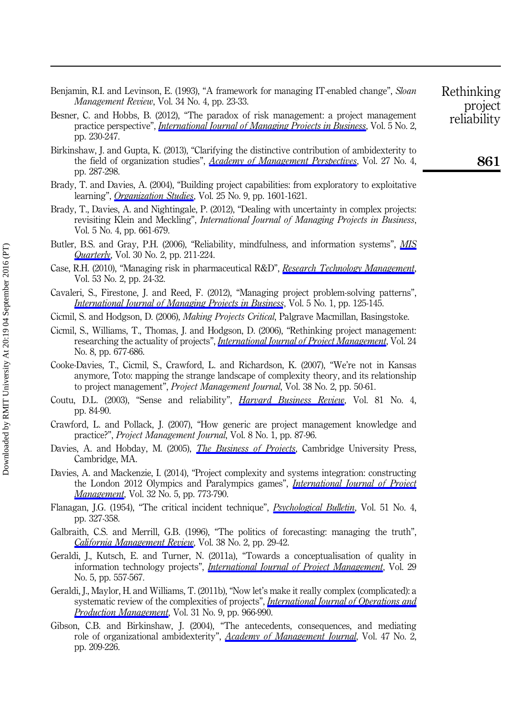- Benjamin, R.I. and Levinson, E. (1993), "A framework for managing IT-enabled change", Sloan Management Review, Vol. 34 No. 4, pp. 23-33.
- Besner, C. and Hobbs, B. (2012), "The paradox of risk management: a project management practice perspective", [International Journal of Managing Projects in Business](http://www.emeraldinsight.com/action/showLinks?system=10.1108%2F17538371211214923), Vol. 5 No. 2, pp. 230-247.
- Birkinshaw, J. and Gupta, K. (2013), "Clarifying the distinctive contribution of ambidexterity to the field of organization studies", *[Academy of Management Perspectives](http://www.emeraldinsight.com/action/showLinks?crossref=10.5465%2Famp.2012.0167&isi=000328801800003)*, Vol. 27 No. 4, pp. 287-298.
- Brady, T. and Davies, A. (2004), "Building project capabilities: from exploratory to exploitative learning", *[Organization Studies](http://www.emeraldinsight.com/action/showLinks?crossref=10.1177%2F0170840604048002&isi=000225550500007)*, Vol. 25 No. 9, pp. 1601-1621.
- Brady, T., Davies, A. and Nightingale, P. (2012), "Dealing with uncertainty in complex projects: revisiting Klein and Meckling", *International Journal of Managing Projects in Business*, Vol. 5 No. 4, pp. 661-679.
- Butler, B.S. and Gray, P.H. (2006), "Reliability, mindfulness, and information systems", [MIS](http://www.emeraldinsight.com/action/showLinks?isi=000237883600002) [Quarterly](http://www.emeraldinsight.com/action/showLinks?isi=000237883600002), Vol. 30 No. 2, pp. 211-224.
- Case, R.H. (2010), "Managing risk in pharmaceutical R&D", [Research Technology Management](http://www.emeraldinsight.com/action/showLinks?isi=000275246300007), Vol. 53 No. 2, pp. 24-32.
- Cavaleri, S., Firestone, J. and Reed, F. (2012), "Managing project problem-solving patterns", [International Journal of Managing Projects in Business](http://www.emeraldinsight.com/action/showLinks?system=10.1108%2F17538371211192937), Vol. 5 No. 1, pp. 125-145.
- Cicmil, S. and Hodgson, D. (2006), Making Projects Critical, Palgrave Macmillan, Basingstoke.
- Cicmil, S., Williams, T., Thomas, J. and Hodgson, D. (2006), "Rethinking project management: researching the actuality of projects", *[International Journal of Project Management](http://www.emeraldinsight.com/action/showLinks?crossref=10.1016%2Fj.ijproman.2006.08.006)*, Vol. 24 No. 8, pp. 677-686.
- Cooke-Davies, T., Cicmil, S., Crawford, L. and Richardson, K. (2007), "We're not in Kansas anymore, Toto: mapping the strange landscape of complexity theory, and its relationship to project management", Project Management Journal, Vol. 38 No. 2, pp. 50-61.
- Coutu, D.L. (2003), "Sense and reliability", *[Harvard Business Review](http://www.emeraldinsight.com/action/showLinks?isi=000182882200012)*, Vol. 81 No. 4, pp. 84-90.
- Crawford, L. and Pollack, J. (2007), "How generic are project management knowledge and practice?", Project Management Journal, Vol. 8 No. 1, pp. 87-96.
- Davies, A. and Hobday, M. (2005), *[The Business of Projects](http://www.emeraldinsight.com/action/showLinks?crossref=10.1017%2FCBO9780511493294)*, Cambridge University Press, Cambridge, MA.
- Davies, A. and Mackenzie, I. (2014), "Project complexity and systems integration: constructing the London 2012 Olympics and Paralympics games", *[International Journal of Project](http://www.emeraldinsight.com/action/showLinks?crossref=10.1016%2Fj.ijproman.2013.10.004&isi=000337769000006)* [Management](http://www.emeraldinsight.com/action/showLinks?crossref=10.1016%2Fj.ijproman.2013.10.004&isi=000337769000006), Vol. 32 No. 5, pp. 773-790.
- Flanagan, J.G. (1954), "The critical incident technique", *[Psychological Bulletin](http://www.emeraldinsight.com/action/showLinks?crossref=10.1037%2Fh0061470&isi=A1954XR86600001)*, Vol. 51 No. 4, pp. 327-358.
- Galbraith, C.S. and Merrill, G.B. (1996), "The politics of forecasting: managing the truth", [California Management Review](http://www.emeraldinsight.com/action/showLinks?crossref=10.2307%2F41165831&isi=A1996TZ81000003), Vol. 38 No. 2, pp. 29-42.
- Geraldi, J., Kutsch, E. and Turner, N. (2011a), "Towards a conceptualisation of quality in information technology projects", *[International Journal of Project Management](http://www.emeraldinsight.com/action/showLinks?crossref=10.1016%2Fj.ijproman.2010.06.004&isi=000291960900008)*, Vol. 29 No. 5, pp. 557-567.
- Geraldi, J., Maylor, H. and Williams, T. (2011b), "Now let's make it really complex (complicated): a systematic review of the complexities of projects", *International Journal of Oberations and* [Production Management](http://www.emeraldinsight.com/action/showLinks?system=10.1108%2F01443571111165848&isi=000296656700003), Vol. 31 No. 9, pp. 966-990.
- Gibson, C.B. and Birkinshaw, J. (2004), "The antecedents, consequences, and mediating role of organizational ambidexterity", [Academy of Management Journal](http://www.emeraldinsight.com/action/showLinks?crossref=10.2307%2F20159573&isi=000221772600003), Vol. 47 No. 2, pp. 209-226.

Rethinking project reliability

861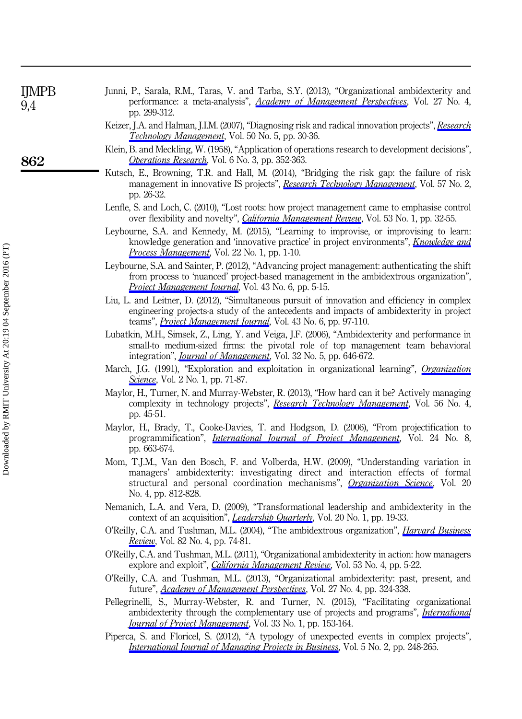| <b>IJMPB</b><br>9,4 | Junni, P., Sarala, R.M., Taras, V. and Tarba, S.Y. (2013), "Organizational ambidexterity and<br>performance: a meta-analysis", <i>Academy of Management Perspectives</i> , Vol. 27 No. 4.<br>pp. 299-312. |
|---------------------|-----------------------------------------------------------------------------------------------------------------------------------------------------------------------------------------------------------|
|                     | Keizer, J.A. and Halman, J.I.M. (2007), "Diagnosing risk and radical innovation projects", Research<br><i>Technology Management, Vol.</i> 50 No. 5, pp. 30-36.                                            |
| 862                 | Klein, B. and Meckling, W. (1958), "Application of operations research to development decisions".<br><i>Operations Research</i> , Vol. 6 No. 3, pp. 352-363.                                              |

- Kutsch, E., Browning, T.R. and Hall, M. (2014), "Bridging the risk gap: the failure of risk management in innovative IS projects", [Research Technology Management](http://www.emeraldinsight.com/action/showLinks?isi=000337211400008), Vol. 57 No. 2, pp. 26-32.
- Lenfle, S. and Loch, C. (2010), "Lost roots: how project management came to emphasise control over flexibility and novelty", *[California Management Review](http://www.emeraldinsight.com/action/showLinks?crossref=10.1525%2Fcmr.2010.53.1.32&isi=000285537000002)*, Vol. 53 No. 1, pp. 32-55.
- Leybourne, S.A. and Kennedy, M. (2015), "Learning to improvise, or improvising to learn: knowledge generation and 'innovative practice' in project environments", [Knowledge and](http://www.emeraldinsight.com/action/showLinks?crossref=10.1002%2Fkpm.1457) [Process Management](http://www.emeraldinsight.com/action/showLinks?crossref=10.1002%2Fkpm.1457), Vol. 22 No. 1, pp. 1-10.
- Leybourne, S.A. and Sainter, P. (2012), "Advancing project management: authenticating the shift from process to 'nuanced' project-based management in the ambidextrous organization", [Project Management Journal](http://www.emeraldinsight.com/action/showLinks?crossref=10.1002%2Fpmj.21306&isi=000311986900002), Vol. 43 No. 6, pp. 5-15.
- Liu, L. and Leitner, D. (2012), "Simultaneous pursuit of innovation and efficiency in complex engineering projects-a study of the antecedents and impacts of ambidexterity in project teams", *[Project Management Journal](http://www.emeraldinsight.com/action/showLinks?crossref=10.1002%2Fpmj.21301&isi=000311986900009)*, Vol. 43 No. 6, pp. 97-110.
- Lubatkin, M.H., Simsek, Z., Ling, Y. and Veiga, J.F. (2006), "Ambidexterity and performance in small-to medium-sized firms: the pivotal role of top management team behavioral integration", *[Journal of Management](http://www.emeraldinsight.com/action/showLinks?crossref=10.1177%2F0149206306290712&isi=000240771200003)*, Vol. 32 No. 5, pp. 646-672.
- March, J.G. (1991), "Exploration and exploitation in organizational learning", *[Organization](http://www.emeraldinsight.com/action/showLinks?crossref=10.1287%2Forsc.2.1.71&isi=000208105700005)* [Science](http://www.emeraldinsight.com/action/showLinks?crossref=10.1287%2Forsc.2.1.71&isi=000208105700005), Vol. 2 No. 1, pp. 71-87.
- Maylor, H., Turner, N. and Murray-Webster, R. (2013), "How hard can it be? Actively managing complexity in technology projects", [Research Technology Management](http://www.emeraldinsight.com/action/showLinks?crossref=10.5437%2F08956308X5602125&isi=000337210900010), Vol. 56 No. 4, pp. 45-51.
- Maylor, H., Brady, T., Cooke-Davies, T. and Hodgson, D. (2006), "From projectification to programmification", *[International Journal of Project Management](http://www.emeraldinsight.com/action/showLinks?crossref=10.1016%2Fj.ijproman.2006.09.014)*, Vol. 24 No. 8, pp. 663-674.
- Mom, T.J.M., Van den Bosch, F. and Volberda, H.W. (2009), "Understanding variation in managers' ambidexterity: investigating direct and interaction effects of formal structural and personal coordination mechanisms", *[Organization Science](http://www.emeraldinsight.com/action/showLinks?crossref=10.1287%2Forsc.1090.0427&isi=000267982000008)*, Vol. 20 No. 4, pp. 812-828.
- Nemanich, L.A. and Vera, D. (2009), "Transformational leadership and ambidexterity in the context of an acquisition", *[Leadership Quarterly](http://www.emeraldinsight.com/action/showLinks?crossref=10.1016%2Fj.leaqua.2008.11.002&isi=000263285100003)*, Vol. 20 No. 1, pp. 19-33.
- O'Reilly, C.A. and Tushman, M.L. (2004), "The ambidextrous organization", [Harvard Business](http://www.emeraldinsight.com/action/showLinks?isi=000220552500010) *[Review](http://www.emeraldinsight.com/action/showLinks?isi=000220552500010)*, Vol. 82 No. 4, pp. 74-81.
- O'Reilly, C.A. and Tushman, M.L. (2011), "Organizational ambidexterity in action: how managers explore and exploit", *[California Management Review](http://www.emeraldinsight.com/action/showLinks?crossref=10.1525%2Fcmr.2011.53.4.5&isi=000294035100002)*, Vol. 53 No. 4, pp. 5-22.
- O'Reilly, C.A. and Tushman, M.L. (2013), "Organizational ambidexterity: past, present, and future", [Academy of Management Perspectives](http://www.emeraldinsight.com/action/showLinks?crossref=10.5465%2Famp.2013.0025&isi=000328801800006), Vol. 27 No. 4, pp. 324-338.
- Pellegrinelli, S., Murray-Webster, R. and Turner, N. (2015), "Facilitating organizational ambidexterity through the complementary use of projects and programs", [International](http://www.emeraldinsight.com/action/showLinks?crossref=10.1016%2Fj.ijproman.2014.04.008&isi=000347595200014) **[Journal of Project Management](http://www.emeraldinsight.com/action/showLinks?crossref=10.1016%2Fj.ijproman.2014.04.008&isi=000347595200014)**, Vol. 33 No. 1, pp. 153-164.
- Piperca, S. and Floricel, S. (2012), "A typology of unexpected events in complex projects", [International Journal of Managing Projects in Business](http://www.emeraldinsight.com/action/showLinks?system=10.1108%2F17538371211214932), Vol. 5 No. 2, pp. 248-265.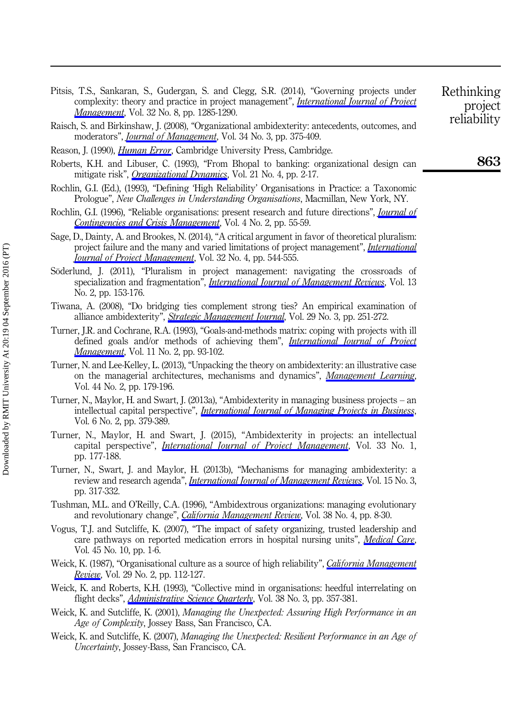- Pitsis, T.S., Sankaran, S., Gudergan, S. and Clegg, S.R. (2014), "Governing projects under complexity: theory and practice in project management", *[International Journal of Project](http://www.emeraldinsight.com/action/showLinks?crossref=10.1016%2Fj.ijproman.2014.09.001&isi=000344210700001)* [Management](http://www.emeraldinsight.com/action/showLinks?crossref=10.1016%2Fj.ijproman.2014.09.001&isi=000344210700001), Vol. 32 No. 8, pp. 1285-1290.
- Raisch, S. and Birkinshaw, J. (2008), "Organizational ambidexterity: antecedents, outcomes, and moderators", *[Journal of Management](http://www.emeraldinsight.com/action/showLinks?crossref=10.1177%2F0149206308316058&isi=000255691500002)*, Vol. 34 No. 3, pp. 375-409.
- Reason, J. (1990), *[Human Error](http://www.emeraldinsight.com/action/showLinks?crossref=10.1017%2FCBO9781139062367)*, Cambridge University Press, Cambridge.
- Roberts, K.H. and Libuser, C. (1993), "From Bhopal to banking: organizational design can mitigate risk", *[Organizational Dynamics](http://www.emeraldinsight.com/action/showLinks?crossref=10.1016%2F0090-2616%2893%2990030-5)*, Vol. 21 No. 4, pp. 2-17.
- Rochlin, G.I. (Ed.), (1993), "Defining 'High Reliability' Organisations in Practice: a Taxonomic Prologue", New Challenges in Understanding Organisations, Macmillan, New York, NY.
- Rochlin, G.I. (1996), "Reliable organisations: present research and future directions", *[Journal of](http://www.emeraldinsight.com/action/showLinks?crossref=10.1111%2Fj.1468-5973.1996.tb00077.x)* [Contingencies and Crisis Management](http://www.emeraldinsight.com/action/showLinks?crossref=10.1111%2Fj.1468-5973.1996.tb00077.x), Vol. 4 No. 2, pp. 55-59.
- Sage, D., Dainty, A. and Brookes, N. (2014), "A critical argument in favor of theoretical pluralism: project failure and the many and varied limitations of project management", *[International](http://www.emeraldinsight.com/action/showLinks?crossref=10.1016%2Fj.ijproman.2013.08.005&isi=000335617400002)* [Journal of Project Management](http://www.emeraldinsight.com/action/showLinks?crossref=10.1016%2Fj.ijproman.2013.08.005&isi=000335617400002), Vol. 32 No. 4, pp. 544-555.
- Söderlund, J. (2011), "Pluralism in project management: navigating the crossroads of specialization and fragmentation", *[International Journal of Management Reviews](http://www.emeraldinsight.com/action/showLinks?crossref=10.1111%2Fj.1468-2370.2010.00290.x&isi=000290541700003)*, Vol. 13 No. 2, pp. 153-176.
- Tiwana, A. (2008), "Do bridging ties complement strong ties? An empirical examination of alliance ambidexterity", *[Strategic Management Journal](http://www.emeraldinsight.com/action/showLinks?crossref=10.1002%2Fsmj.666&isi=000254039100002)*, Vol. 29 No. 3, pp. 251-272.
- Turner, J.R. and Cochrane, R.A. (1993), "Goals-and-methods matrix: coping with projects with ill defined goals and/or methods of achieving them", *[International Journal of Project](http://www.emeraldinsight.com/action/showLinks?crossref=10.1016%2F0263-7863%2893%2990017-H) [Management](http://www.emeraldinsight.com/action/showLinks?crossref=10.1016%2F0263-7863%2893%2990017-H)*, Vol. 11 No. 2, pp. 93-102.
- Turner, N. and Lee-Kelley, L. (2013), "Unpacking the theory on ambidexterity: an illustrative case on the managerial architectures, mechanisms and dynamics", [Management Learning](http://www.emeraldinsight.com/action/showLinks?crossref=10.1177%2F1350507612444074&isi=000318812800006), Vol. 44 No. 2, pp. 179-196.
- Turner, N., Maylor, H. and Swart, J. (2013a), "Ambidexterity in managing business projects an intellectual capital perspective", *[International Journal of Managing Projects in Business](http://www.emeraldinsight.com/action/showLinks?system=10.1108%2F17538371311319089)*, Vol. 6 No. 2, pp. 379-389.
- Turner, N., Maylor, H. and Swart, J. (2015), "Ambidexterity in projects: an intellectual capital perspective", *International Journal [of Project Management](http://www.emeraldinsight.com/action/showLinks?crossref=10.1016%2Fj.ijproman.2014.05.002&isi=000347595200016)*, Vol. 33 No. 1, pp. 177-188.
- Turner, N., Swart, J. and Maylor, H. (2013b), "Mechanisms for managing ambidexterity: a review and research agenda", *[International Journal of Management Reviews](http://www.emeraldinsight.com/action/showLinks?crossref=10.1111%2Fj.1468-2370.2012.00343.x&isi=000329520500004)*, Vol. 15 No. 3, pp. 317-332.
- Tushman, M.L. and O'Reilly, C.A. (1996), "Ambidextrous organizations: managing evolutionary and revolutionary change", *[California Management Review](http://www.emeraldinsight.com/action/showLinks?crossref=10.2307%2F41165852&isi=A1996VE88800001)*, Vol. 38 No. 4, pp. 8-30.
- Vogus, T.J. and Sutcliffe, K. (2007), "The impact of safety organizing, trusted leadership and care pathways on reported medication errors in hospital nursing units", [Medical Care](http://www.emeraldinsight.com/action/showLinks?crossref=10.1097%2FMLR.0b013e318053674f), Vol. 45 No. 10, pp. 1-6.
- Weick, K. (1987), "Organisational culture as a source of high reliability", *[California Management](http://www.emeraldinsight.com/action/showLinks?crossref=10.2307%2F41165243&isi=A1987G067600008)* [Review](http://www.emeraldinsight.com/action/showLinks?crossref=10.2307%2F41165243&isi=A1987G067600008), Vol. 29 No. 2, pp. 112-127.
- Weick, K. and Roberts, K.H. (1993), "Collective mind in organisations: heedful interrelating on flight decks", *[Administrative Science Quarterly](http://www.emeraldinsight.com/action/showLinks?crossref=10.2307%2F2393372&isi=A1993MF67200001)*, Vol. 38 No. 3, pp. 357-381.
- Weick, K. and Sutcliffe, K. (2001), Managing the Unexpected: Assuring High Performance in an Age of Complexity, Jossey Bass, San Francisco, CA.
- Weick, K. and Sutcliffe, K. (2007), Managing the Unexpected: Resilient Performance in an Age of Uncertainty, Jossey-Bass, San Francisco, CA.

Rethinking project reliability

863